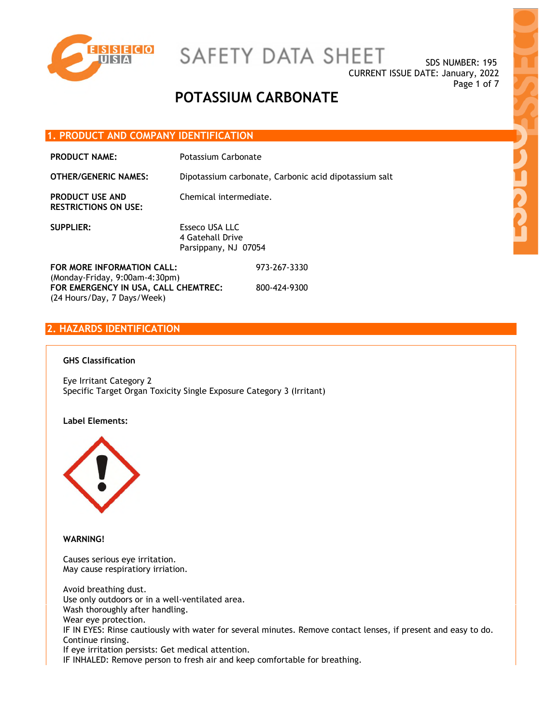

SAFETY DATA SHEET

SDS NUMBER: 195 CURRENT ISSUE DATE: January, 2022 Page 1 of 7

## **POTASSIUM CARBONATE**

#### **1. PRODUCT AND COMPANY IDENTIFICATION**

PRODUCT NAME: Potassium Carbonate

**OTHER/GENERIC NAMES:** Dipotassium carbonate, Carbonic acid dipotassium salt

**PRODUCT USE AND RESTRICTIONS ON USE:**  Chemical intermediate.

**SUPPLIER:** Esseco USA LLC 4 Gatehall Drive Parsippany, NJ 07054

**FOR MORE INFORMATION CALL:** (Monday-Friday, 9:00am-4:30pm) 973-267-3330 **FOR EMERGENCY IN USA, CALL CHEMTREC:** (24 Hours/Day, 7 Days/Week) 800-424-9300

### **2. HAZARDS IDENTIFICATION**

#### **GHS Classification**

Eye Irritant Category 2 Specific Target Organ Toxicity Single Exposure Category 3 (Irritant)

#### **Label Elements:**



**WARNING!** 

Causes serious eye irritation. May cause respiratiory irriation.

Avoid breathing dust. Use only outdoors or in a well-ventilated area. Wash thoroughly after handling. Wear eye protection. IF IN EYES: Rinse cautiously with water for several minutes. Remove contact lenses, if present and easy to do. Continue rinsing. If eye irritation persists: Get medical attention. IF INHALED: Remove person to fresh air and keep comfortable for breathing.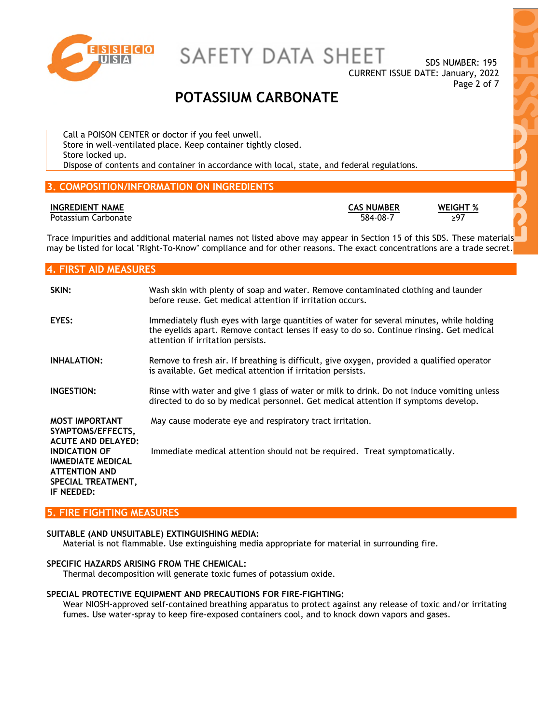

SAFETY DATA SHEET

SDS NUMBER: 195 CURRENT ISSUE DATE: January, 2022 Page 2 of 7

### **POTASSIUM CARBONATE**

Call a POISON CENTER or doctor if you feel unwell. Store in well-ventilated place. Keep container tightly closed. Store locked up. Dispose of contents and container in accordance with local, state, and federal regulations.

### **3. COMPOSITION/INFORMATION ON INGREDIENTS**

#### **INGREDIENT NAME CAS NUMBER WEIGHT %**

Potassium Carbonate  $\overline{584-08-7}$   $\overline{297}$ 

Trace impurities and additional material names not listed above may appear in Section 15 of this SDS. These materials may be listed for local "Right-To-Know" compliance and for other reasons. The exact concentrations are a trade secret.

### **4. FIRST AID MEASURES**

| SKIN:                                                                                           | Wash skin with plenty of soap and water. Remove contaminated clothing and launder<br>before reuse. Get medical attention if irritation occurs.                                                                            |
|-------------------------------------------------------------------------------------------------|---------------------------------------------------------------------------------------------------------------------------------------------------------------------------------------------------------------------------|
| EYES:                                                                                           | Immediately flush eyes with large quantities of water for several minutes, while holding<br>the eyelids apart. Remove contact lenses if easy to do so. Continue rinsing. Get medical<br>attention if irritation persists. |
| <b>INHALATION:</b>                                                                              | Remove to fresh air. If breathing is difficult, give oxygen, provided a qualified operator<br>is available. Get medical attention if irritation persists.                                                                 |
| INGESTION:                                                                                      | Rinse with water and give 1 glass of water or milk to drink. Do not induce vomiting unless<br>directed to do so by medical personnel. Get medical attention if symptoms develop.                                          |
| <b>MOST IMPORTANT</b><br>SYMPTOMS/EFFECTS,<br><b>ACUTE AND DELAYED:</b><br><b>INDICATION OF</b> | May cause moderate eye and respiratory tract irritation.<br>Immediate medical attention should not be required. Treat symptomatically.                                                                                    |
| <b>IMMEDIATE MEDICAL</b><br><b>ATTENTION AND</b><br>SPECIAL TREATMENT,<br>IF NEEDED:            |                                                                                                                                                                                                                           |

#### **5. FIRE FIGHTING MEASURES**

#### **SUITABLE (AND UNSUITABLE) EXTINGUISHING MEDIA:**

Material is not flammable. Use extinguishing media appropriate for material in surrounding fire.

#### **SPECIFIC HAZARDS ARISING FROM THE CHEMICAL:**

Thermal decomposition will generate toxic fumes of potassium oxide.

#### **SPECIAL PROTECTIVE EQUIPMENT AND PRECAUTIONS FOR FIRE-FIGHTING:**

Wear NIOSH-approved self-contained breathing apparatus to protect against any release of toxic and/or irritating fumes. Use water-spray to keep fire-exposed containers cool, and to knock down vapors and gases.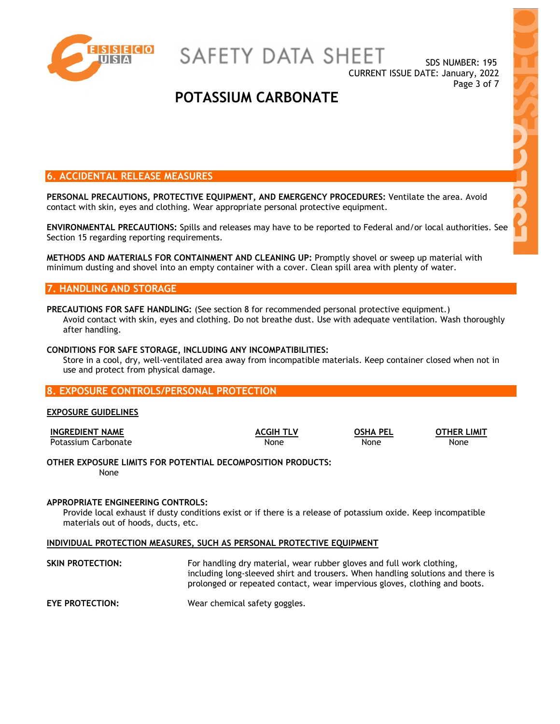

SAFETY DATA SHEET

SDS NUMBER: 195 CURRENT ISSUE DATE: January, 2022 Page 3 of 7

## **POTASSIUM CARBONATE**

### **6. ACCIDENTAL RELEASE MEASURES**

**PERSONAL PRECAUTIONS, PROTECTIVE EQUIPMENT, AND EMERGENCY PROCEDURES:** Ventilate the area. Avoid contact with skin, eyes and clothing. Wear appropriate personal protective equipment.

**ENVIRONMENTAL PRECAUTIONS:** Spills and releases may have to be reported to Federal and/or local authorities. See Section 15 regarding reporting requirements.

**METHODS AND MATERIALS FOR CONTAINMENT AND CLEANING UP:** Promptly shovel or sweep up material with minimum dusting and shovel into an empty container with a cover. Clean spill area with plenty of water.

#### **7. HANDLING AND STORAGE**

#### **PRECAUTIONS FOR SAFE HANDLING:** (See section 8 for recommended personal protective equipment.) Avoid contact with skin, eyes and clothing. Do not breathe dust. Use with adequate ventilation. Wash thoroughly after handling.

#### **CONDITIONS FOR SAFE STORAGE, INCLUDING ANY INCOMPATIBILITIES:**

Store in a cool, dry, well-ventilated area away from incompatible materials. Keep container closed when not in use and protect from physical damage.

#### **8. EXPOSURE CONTROLS/PERSONAL PROTECTION**

#### **EXPOSURE GUIDELINES**

| <b>INGREDIENT NAME</b> | <b>ACGIH TLV</b> | OSHA PEL | <b>OTHER LIMIT</b> |
|------------------------|------------------|----------|--------------------|
| Potassium Carbonate    | None             | None     | None               |

**OTHER EXPOSURE LIMITS FOR POTENTIAL DECOMPOSITION PRODUCTS:** None

#### **APPROPRIATE ENGINEERING CONTROLS:**

Provide local exhaust if dusty conditions exist or if there is a release of potassium oxide. Keep incompatible materials out of hoods, ducts, etc.

#### **INDIVIDUAL PROTECTION MEASURES, SUCH AS PERSONAL PROTECTIVE EQUIPMENT**

**SKIN PROTECTION:** For handling dry material, wear rubber gloves and full work clothing, including long-sleeved shirt and trousers. When handling solutions and there is prolonged or repeated contact, wear impervious gloves, clothing and boots.

**EYE PROTECTION:** Wear chemical safety goggles.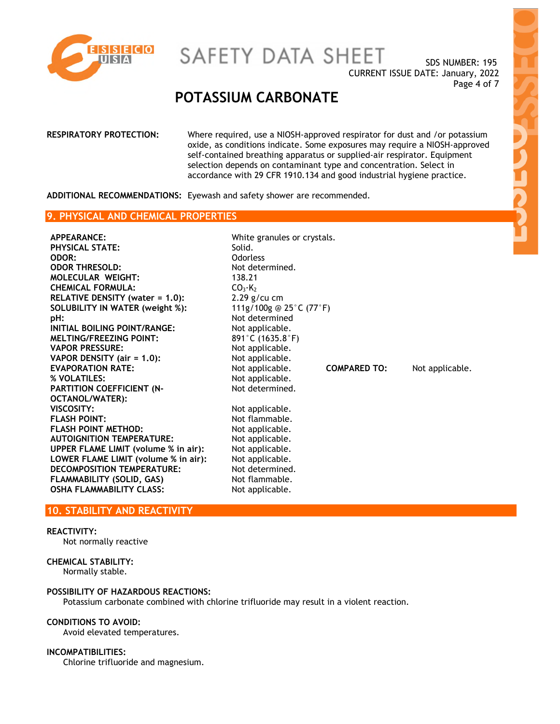

# SAFETY DATA SHEET

SDS NUMBER: 195 CURRENT ISSUE DATE: January, 2022 Page 4 of 7

### **POTASSIUM CARBONATE**

| <b>RESPIRATORY PROTECTION:</b> | Where required, use a NIOSH-approved respirator for dust and /or potassium<br>oxide, as conditions indicate. Some exposures may require a NIOSH-approved<br>self-contained breathing apparatus or supplied-air respirator. Equipment<br>selection depends on contaminant type and concentration. Select in<br>accordance with 29 CFR 1910.134 and good industrial hygiene practice. |
|--------------------------------|-------------------------------------------------------------------------------------------------------------------------------------------------------------------------------------------------------------------------------------------------------------------------------------------------------------------------------------------------------------------------------------|
|                                |                                                                                                                                                                                                                                                                                                                                                                                     |

**ADDITIONAL RECOMMENDATIONS:** Eyewash and safety shower are recommended.

#### **9. PHYSICAL AND CHEMICAL PROPERTIES**

| Solid.                          |                     |                                                               |
|---------------------------------|---------------------|---------------------------------------------------------------|
| Odorless                        |                     |                                                               |
| Not determined.                 |                     |                                                               |
| 138.21                          |                     |                                                               |
| CO <sub>3</sub> ·K <sub>2</sub> |                     |                                                               |
| $2.29$ g/cu cm                  |                     |                                                               |
|                                 |                     |                                                               |
| Not determined                  |                     |                                                               |
| Not applicable.                 |                     |                                                               |
| 891°C (1635.8°F)                |                     |                                                               |
| Not applicable.                 |                     |                                                               |
| Not applicable.                 |                     |                                                               |
| Not applicable.                 | <b>COMPARED TO:</b> | Not applicable.                                               |
| Not applicable.                 |                     |                                                               |
| Not determined.                 |                     |                                                               |
|                                 |                     |                                                               |
| Not applicable.                 |                     |                                                               |
| Not flammable.                  |                     |                                                               |
| Not applicable.                 |                     |                                                               |
| Not applicable.                 |                     |                                                               |
| Not applicable.                 |                     |                                                               |
| Not applicable.                 |                     |                                                               |
| Not determined.                 |                     |                                                               |
| Not flammable.                  |                     |                                                               |
| Not applicable.                 |                     |                                                               |
|                                 |                     | White granules or crystals.<br>111g/100g @ 25 $°C$ (77 $°F$ ) |

#### **10. STABILITY AND REACTIVITY**

#### **REACTIVITY:**

Not normally reactive

#### **CHEMICAL STABILITY:**

Normally stable.

#### **POSSIBILITY OF HAZARDOUS REACTIONS:**

Potassium carbonate combined with chlorine trifluoride may result in a violent reaction.

#### **CONDITIONS TO AVOID:**

Avoid elevated temperatures.

#### **INCOMPATIBILITIES:**

Chlorine trifluoride and magnesium.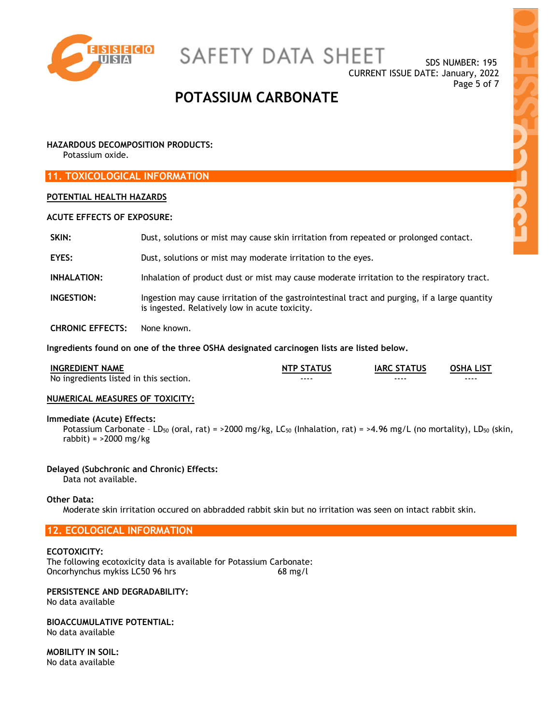

SAFETY DATA SHEET

SDS NUMBER: 195 CURRENT ISSUE DATE: January, 2022 Page 5 of 7

### **POTASSIUM CARBONATE**

#### **HAZARDOUS DECOMPOSITION PRODUCTS:**

Potassium oxide.

#### **11. TOXICOLOGICAL INFORMATION**

#### **POTENTIAL HEALTH HAZARDS**

#### **ACUTE EFFECTS OF EXPOSURE:**

| SKIN:                   | Dust, solutions or mist may cause skin irritation from repeated or prolonged contact.                                                           |
|-------------------------|-------------------------------------------------------------------------------------------------------------------------------------------------|
| EYES:                   | Dust, solutions or mist may moderate irritation to the eyes.                                                                                    |
| <b>INHALATION:</b>      | Inhalation of product dust or mist may cause moderate irritation to the respiratory tract.                                                      |
| <b>INGESTION:</b>       | Ingestion may cause irritation of the gastrointestinal tract and purging, if a large quantity<br>is ingested. Relatively low in acute toxicity. |
| <b>CHRONIC EFFECTS:</b> | None known.                                                                                                                                     |

**Ingredients found on one of the three OSHA designated carcinogen lists are listed below.** 

| <b>INGREDIENT NAME</b>                 | <b>NTP STATUS</b> | <b>IARC STATUS</b> | <b>OSHA LIST</b> |
|----------------------------------------|-------------------|--------------------|------------------|
| No ingredients listed in this section. | ----              | ----               | ----             |

#### **NUMERICAL MEASURES OF TOXICITY:**

#### **Immediate (Acute) Effects:**

Potassium Carbonate - LD<sub>50</sub> (oral, rat) = >2000 mg/kg, LC<sub>50</sub> (Inhalation, rat) = >4.96 mg/L (no mortality), LD<sub>50</sub> (skin, rabbit) = >2000 mg/kg

#### **Delayed (Subchronic and Chronic) Effects:**

Data not available.

#### **Other Data:**

Moderate skin irritation occured on abbradded rabbit skin but no irritation was seen on intact rabbit skin.

#### **12. ECOLOGICAL INFORMATION**

#### **ECOTOXICITY:**

The following ecotoxicity data is available for Potassium Carbonate: Oncorhynchus mykiss LC50 96 hrs 68 mg/l

#### **PERSISTENCE AND DEGRADABILITY:**  No data available

#### **BIOACCUMULATIVE POTENTIAL:**  No data available

**MOBILITY IN SOIL:**  No data available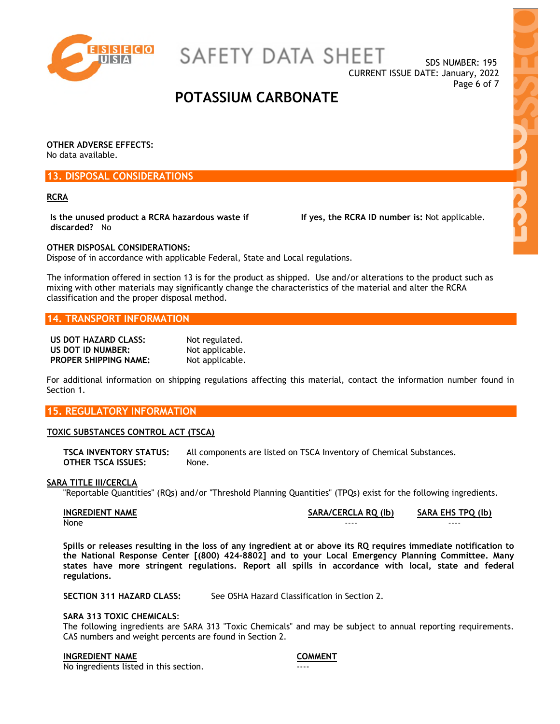

SAFETY DATA SHEET

SDS NUMBER: 195 CURRENT ISSUE DATE: January, 2022 Page 6 of 7

### **POTASSIUM CARBONATE**

**OTHER ADVERSE EFFECTS:**  No data available.

#### **13. DISPOSAL CONSIDERATIONS**

#### **RCRA**

**Is the unused product a RCRA hazardous waste if discarded?** No

 **If yes, the RCRA ID number is:** Not applicable.

**OTHER DISPOSAL CONSIDERATIONS:**  Dispose of in accordance with applicable Federal, State and Local regulations.

The information offered in section 13 is for the product as shipped. Use and/or alterations to the product such as mixing with other materials may significantly change the characteristics of the material and alter the RCRA classification and the proper disposal method.

#### **14. TRANSPORT INFORMATION**

| US DOT HAZARD CLASS:         | Not regulated.  |
|------------------------------|-----------------|
| US DOT ID NUMBER:            | Not applicable. |
| <b>PROPER SHIPPING NAME:</b> | Not applicable. |

For additional information on shipping regulations affecting this material, contact the information number found in Section 1.

#### **15. REGULATORY INFORMATION**

#### **TOXIC SUBSTANCES CONTROL ACT (TSCA)**

**TSCA INVENTORY STATUS:** All components are listed on TSCA Inventory of Chemical Substances. **OTHER TSCA ISSUES:** None.

#### **SARA TITLE III/CERCLA**

"Reportable Quantities" (RQs) and/or "Threshold Planning Quantities" (TPQs) exist for the following ingredients.

| <b>INGREDIENT NAME</b> | SARA/CERCLA RO (lb) | SARA EHS TPQ (lb) |
|------------------------|---------------------|-------------------|
| None                   | ----                | ----              |

**Spills or releases resulting in the loss of any ingredient at or above its RQ requires immediate notification to the National Response Center [(800) 424-8802] and to your Local Emergency Planning Committee. Many states have more stringent regulations. Report all spills in accordance with local, state and federal regulations.** 

**SECTION 311 HAZARD CLASS:** See OSHA Hazard Classification in Section 2.

#### **SARA 313 TOXIC CHEMICALS**:

The following ingredients are SARA 313 "Toxic Chemicals" and may be subject to annual reporting requirements. CAS numbers and weight percents are found in Section 2.

#### **INGREDIENT NAME COMMENT**

No ingredients listed in this section.